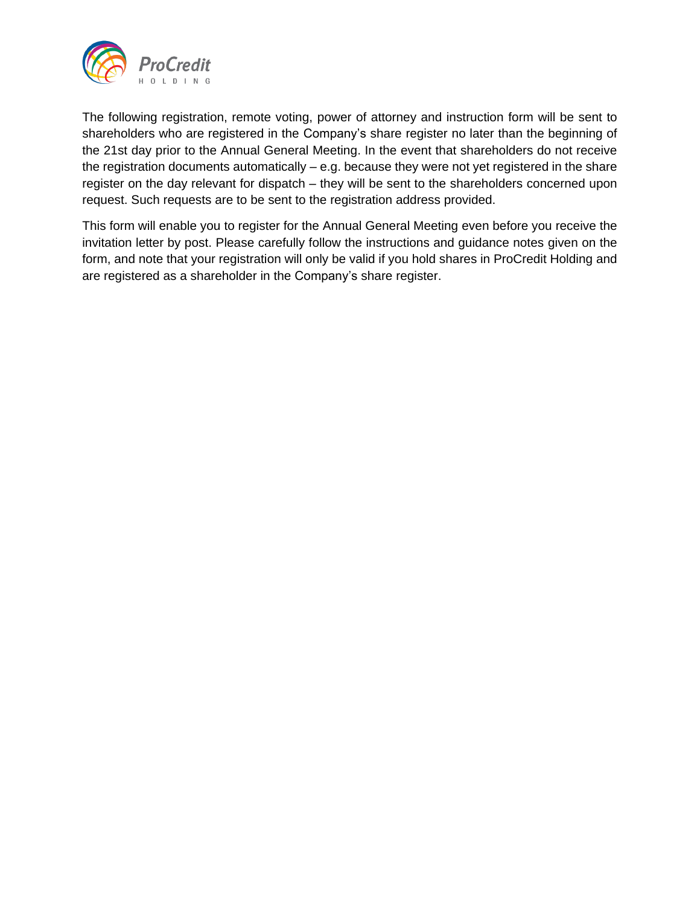

The following registration, remote voting, power of attorney and instruction form will be sent to shareholders who are registered in the Company's share register no later than the beginning of the 21st day prior to the Annual General Meeting. In the event that shareholders do not receive the registration documents automatically – e.g. because they were not yet registered in the share register on the day relevant for dispatch – they will be sent to the shareholders concerned upon request. Such requests are to be sent to the registration address provided.

This form will enable you to register for the Annual General Meeting even before you receive the invitation letter by post. Please carefully follow the instructions and guidance notes given on the form, and note that your registration will only be valid if you hold shares in ProCredit Holding and are registered as a shareholder in the Company's share register.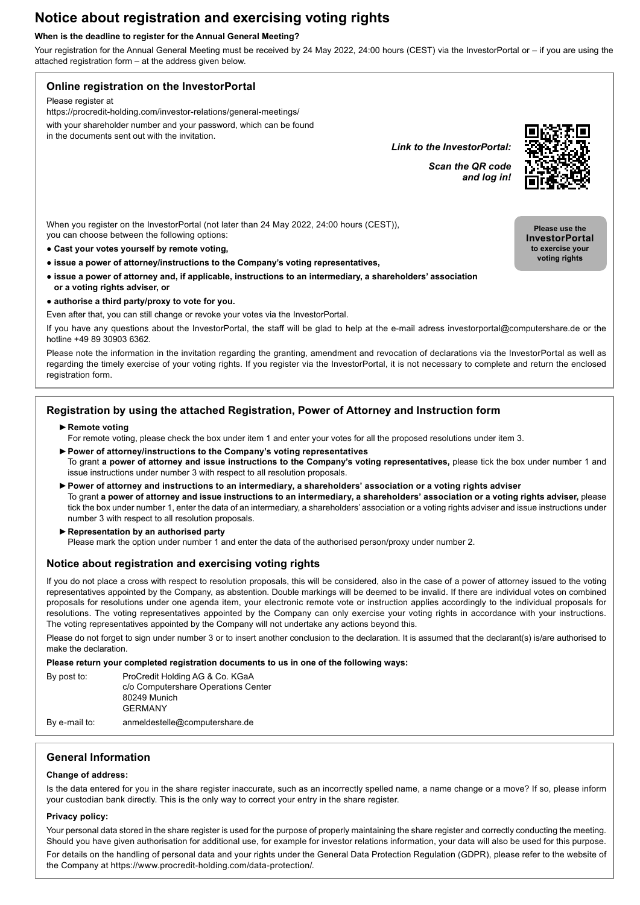# **Notice about registration and exercising voting rights**

#### **When is the deadline to register for the Annual General Meeting?**

Your registration for the Annual General Meeting must be received by 24 May 2022, 24:00 hours (CEST) via the InvestorPortal or – if you are using the attached registration form – at the address given below.



| By post to:   | ProCredit Holding AG & Co. KGaA<br>c/o Computershare Operations Center<br>80249 Munich<br><b>GERMANY</b> |
|---------------|----------------------------------------------------------------------------------------------------------|
| By e-mail to: | anmeldestelle@computershare.de                                                                           |

## **General Information**

### **Change of address:**

Is the data entered for you in the share register inaccurate, such as an incorrectly spelled name, a name change or a move? If so, please inform your custodian bank directly. This is the only way to correct your entry in the share register.

### **Privacy policy:**

Your personal data stored in the share register is used for the purpose of properly maintaining the share register and correctly conducting the meeting. Should you have given authorisation for additional use, for example for investor relations information, your data will also be used for this purpose.

For details on the handling of personal data and your rights under the General Data Protection Regulation (GDPR), please refer to the website of the Company at https://www.procredit-holding.com/data-protection/.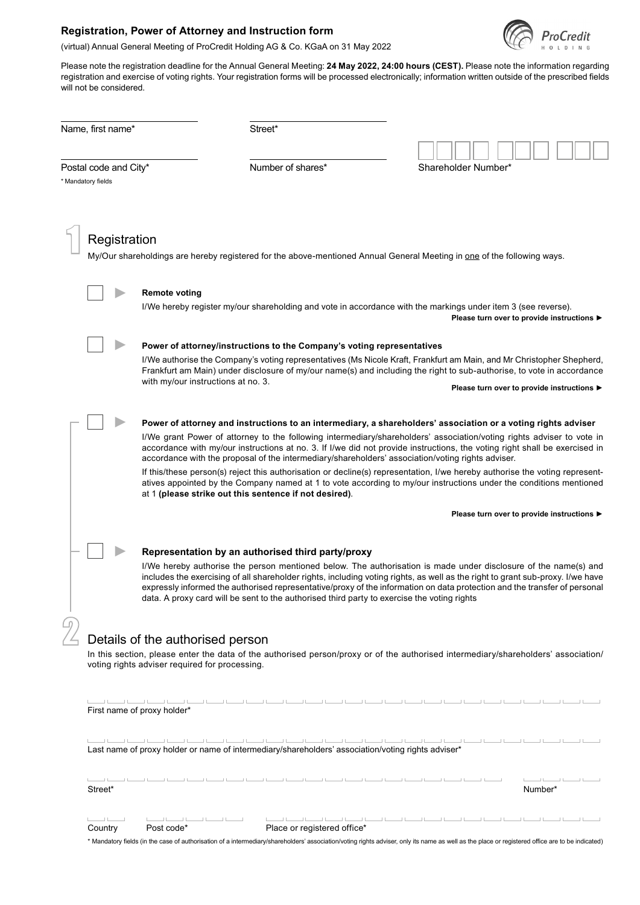## **Registration, Power of Attorney and Instruction form**



(virtual) Annual General Meeting of ProCredit Holding AG & Co. KGaA on 31 May 2022

Please note the registration deadline for the Annual General Meeting: **24 May 2022, 24:00 hours (CEST).** Please note the information regarding registration and exercise of voting rights. Your registration forms will be processed electronically; information written outside of the prescribed fields will not be considered.

| Name, first name*                           |              |                                                | Street*                                                                                                                                                                                                                                                                                                                                                                                                                                                                                                                                                                                                                                                                                                                                                                                  |  |                                                                                                                       |                                             |  |  |
|---------------------------------------------|--------------|------------------------------------------------|------------------------------------------------------------------------------------------------------------------------------------------------------------------------------------------------------------------------------------------------------------------------------------------------------------------------------------------------------------------------------------------------------------------------------------------------------------------------------------------------------------------------------------------------------------------------------------------------------------------------------------------------------------------------------------------------------------------------------------------------------------------------------------------|--|-----------------------------------------------------------------------------------------------------------------------|---------------------------------------------|--|--|
| Postal code and City*<br>* Mandatory fields |              |                                                | Number of shares*                                                                                                                                                                                                                                                                                                                                                                                                                                                                                                                                                                                                                                                                                                                                                                        |  | Shareholder Number*                                                                                                   |                                             |  |  |
|                                             | Registration |                                                | My/Our shareholdings are hereby registered for the above-mentioned Annual General Meeting in one of the following ways.                                                                                                                                                                                                                                                                                                                                                                                                                                                                                                                                                                                                                                                                  |  |                                                                                                                       |                                             |  |  |
|                                             |              | <b>Remote voting</b>                           | I/We hereby register my/our shareholding and vote in accordance with the markings under item 3 (see reverse).                                                                                                                                                                                                                                                                                                                                                                                                                                                                                                                                                                                                                                                                            |  |                                                                                                                       | Please turn over to provide instructions ▶  |  |  |
|                                             |              |                                                | Power of attorney/instructions to the Company's voting representatives                                                                                                                                                                                                                                                                                                                                                                                                                                                                                                                                                                                                                                                                                                                   |  |                                                                                                                       |                                             |  |  |
|                                             |              |                                                | I/We authorise the Company's voting representatives (Ms Nicole Kraft, Frankfurt am Main, and Mr Christopher Shepherd,                                                                                                                                                                                                                                                                                                                                                                                                                                                                                                                                                                                                                                                                    |  | Frankfurt am Main) under disclosure of my/our name(s) and including the right to sub-authorise, to vote in accordance |                                             |  |  |
|                                             |              | with my/our instructions at no. 3.             |                                                                                                                                                                                                                                                                                                                                                                                                                                                                                                                                                                                                                                                                                                                                                                                          |  | Please turn over to provide instructions ▶                                                                            |                                             |  |  |
|                                             |              |                                                | Power of attorney and instructions to an intermediary, a shareholders' association or a voting rights adviser<br>I/We grant Power of attorney to the following intermediary/shareholders' association/voting rights adviser to vote in<br>accordance with my/our instructions at no. 3. If I/we did not provide instructions, the voting right shall be exercised in<br>accordance with the proposal of the intermediary/shareholders' association/voting rights adviser.<br>If this/these person(s) reject this authorisation or decline(s) representation, I/we hereby authorise the voting represent-<br>atives appointed by the Company named at 1 to vote according to my/our instructions under the conditions mentioned<br>at 1 (please strike out this sentence if not desired). |  |                                                                                                                       |                                             |  |  |
|                                             |              |                                                |                                                                                                                                                                                                                                                                                                                                                                                                                                                                                                                                                                                                                                                                                                                                                                                          |  |                                                                                                                       | Please turn over to provide instructions ▶  |  |  |
|                                             |              |                                                | Representation by an authorised third party/proxy<br>I/We hereby authorise the person mentioned below. The authorisation is made under disclosure of the name(s) and<br>includes the exercising of all shareholder rights, including voting rights, as well as the right to grant sub-proxy. I/we have<br>expressly informed the authorised representative/proxy of the information on data protection and the transfer of personal<br>data. A proxy card will be sent to the authorised third party to exercise the voting rights                                                                                                                                                                                                                                                       |  |                                                                                                                       |                                             |  |  |
|                                             |              | Details of the authorised person               |                                                                                                                                                                                                                                                                                                                                                                                                                                                                                                                                                                                                                                                                                                                                                                                          |  |                                                                                                                       |                                             |  |  |
|                                             |              | voting rights adviser required for processing. | In this section, please enter the data of the authorised person/proxy or of the authorised intermediary/shareholders' association/                                                                                                                                                                                                                                                                                                                                                                                                                                                                                                                                                                                                                                                       |  |                                                                                                                       |                                             |  |  |
|                                             |              | First name of proxy holder*                    |                                                                                                                                                                                                                                                                                                                                                                                                                                                                                                                                                                                                                                                                                                                                                                                          |  |                                                                                                                       |                                             |  |  |
|                                             |              |                                                | بالمسالمين لاستنافتنا ليسالين المسالمين المسالمين لمسالمين لمسالمين المسالمين المسالمين المسالمين المسالمين المسال<br>Last name of proxy holder or name of intermediary/shareholders' association/voting rights adviser*                                                                                                                                                                                                                                                                                                                                                                                                                                                                                                                                                                 |  |                                                                                                                       |                                             |  |  |
| Street*                                     |              |                                                | المتنبية المستنا المستنا المستنا المستنا المستنا المستنا لمستنا المستا لمستنا لمستنا لمستنا لمستنا لمستنا لم                                                                                                                                                                                                                                                                                                                                                                                                                                                                                                                                                                                                                                                                             |  |                                                                                                                       | <u> La Barat Carl La Barat (</u><br>Number* |  |  |
|                                             |              |                                                |                                                                                                                                                                                                                                                                                                                                                                                                                                                                                                                                                                                                                                                                                                                                                                                          |  |                                                                                                                       |                                             |  |  |

\* Mandatory fields (in the case of authorisation of a intermediary/shareholders' association/voting rights adviser, only its name as well as the place or registered office are to be indicated)

Country Post code\* Place or registered office\*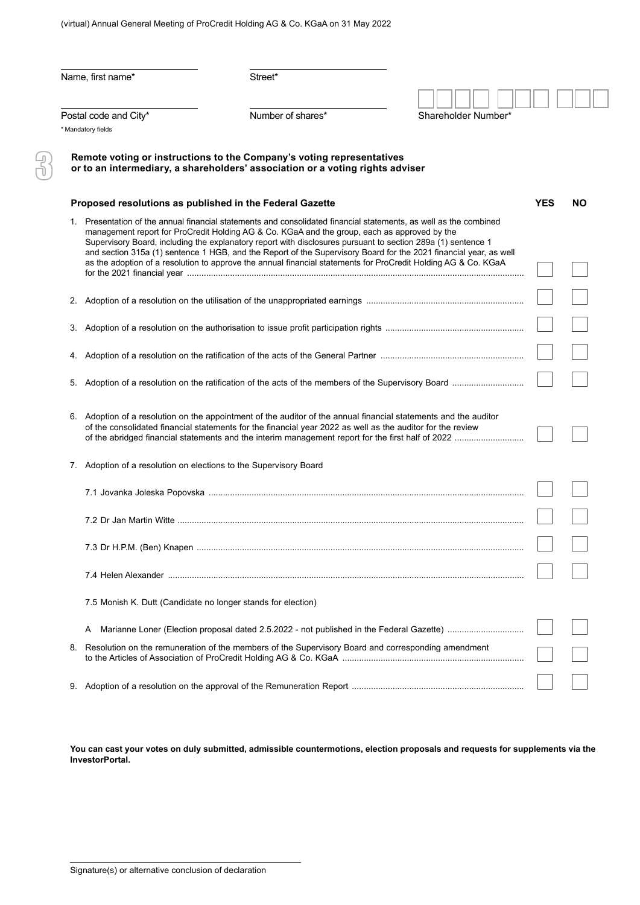(virtual) Annual General Meeting of ProCredit Holding AG & Co. KGaA on 31 May 2022

|    | Name, first name*                                                 | Street*                                                                                                                                                                                                                                                                                                                                                                                                                                                                                                                                                                  |                     |    |
|----|-------------------------------------------------------------------|--------------------------------------------------------------------------------------------------------------------------------------------------------------------------------------------------------------------------------------------------------------------------------------------------------------------------------------------------------------------------------------------------------------------------------------------------------------------------------------------------------------------------------------------------------------------------|---------------------|----|
|    | Postal code and City*<br>* Mandatory fields                       | Number of shares*                                                                                                                                                                                                                                                                                                                                                                                                                                                                                                                                                        | Shareholder Number* |    |
|    |                                                                   | Remote voting or instructions to the Company's voting representatives<br>or to an intermediary, a shareholders' association or a voting rights adviser                                                                                                                                                                                                                                                                                                                                                                                                                   |                     |    |
|    | Proposed resolutions as published in the Federal Gazette          |                                                                                                                                                                                                                                                                                                                                                                                                                                                                                                                                                                          | <b>YES</b>          | NΟ |
|    |                                                                   | 1. Presentation of the annual financial statements and consolidated financial statements, as well as the combined<br>management report for ProCredit Holding AG & Co. KGaA and the group, each as approved by the<br>Supervisory Board, including the explanatory report with disclosures pursuant to section 289a (1) sentence 1<br>and section 315a (1) sentence 1 HGB, and the Report of the Supervisory Board for the 2021 financial year, as well<br>as the adoption of a resolution to approve the annual financial statements for ProCredit Holding AG & Co. KGaA |                     |    |
|    |                                                                   |                                                                                                                                                                                                                                                                                                                                                                                                                                                                                                                                                                          |                     |    |
|    |                                                                   |                                                                                                                                                                                                                                                                                                                                                                                                                                                                                                                                                                          |                     |    |
|    |                                                                   |                                                                                                                                                                                                                                                                                                                                                                                                                                                                                                                                                                          |                     |    |
|    |                                                                   |                                                                                                                                                                                                                                                                                                                                                                                                                                                                                                                                                                          |                     |    |
|    |                                                                   | 6. Adoption of a resolution on the appointment of the auditor of the annual financial statements and the auditor<br>of the consolidated financial statements for the financial year 2022 as well as the auditor for the review                                                                                                                                                                                                                                                                                                                                           |                     |    |
|    | 7. Adoption of a resolution on elections to the Supervisory Board |                                                                                                                                                                                                                                                                                                                                                                                                                                                                                                                                                                          |                     |    |
|    |                                                                   |                                                                                                                                                                                                                                                                                                                                                                                                                                                                                                                                                                          |                     |    |
|    |                                                                   |                                                                                                                                                                                                                                                                                                                                                                                                                                                                                                                                                                          |                     |    |
|    |                                                                   |                                                                                                                                                                                                                                                                                                                                                                                                                                                                                                                                                                          |                     |    |
|    |                                                                   |                                                                                                                                                                                                                                                                                                                                                                                                                                                                                                                                                                          |                     |    |
|    | 7.5 Monish K. Dutt (Candidate no longer stands for election)      |                                                                                                                                                                                                                                                                                                                                                                                                                                                                                                                                                                          |                     |    |
|    | A                                                                 |                                                                                                                                                                                                                                                                                                                                                                                                                                                                                                                                                                          |                     |    |
| 8. |                                                                   | Resolution on the remuneration of the members of the Supervisory Board and corresponding amendment                                                                                                                                                                                                                                                                                                                                                                                                                                                                       |                     |    |
|    |                                                                   |                                                                                                                                                                                                                                                                                                                                                                                                                                                                                                                                                                          |                     |    |

**You can cast your votes on duly submitted, admissible countermotions, election proposals and requests for supplements via the InvestorPortal.**